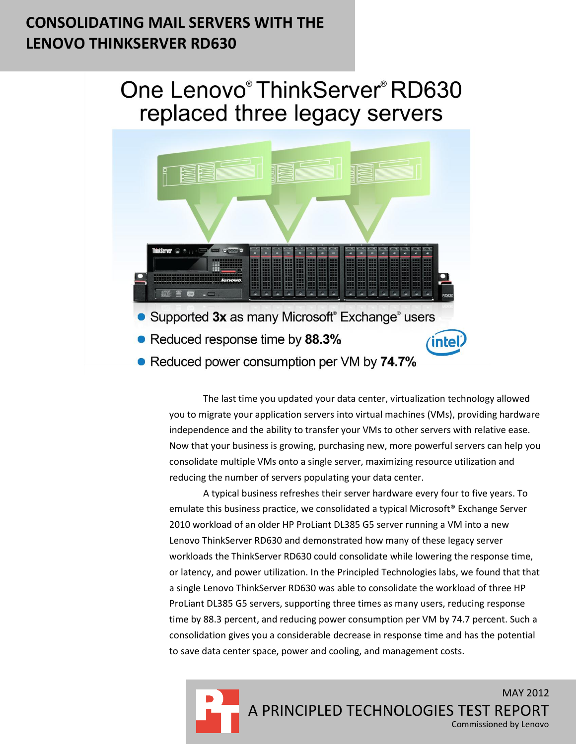## **CONSOLIDATING MAIL SERVERS WITH THE LENOVO THINKSERVER RD630**

# One Lenovo® ThinkServer® RD630 replaced three legacy servers



The last time you updated your data center, virtualization technology allowed you to migrate your application servers into virtual machines (VMs), providing hardware independence and the ability to transfer your VMs to other servers with relative ease. Now that your business is growing, purchasing new, more powerful servers can help you consolidate multiple VMs onto a single server, maximizing resource utilization and reducing the number of servers populating your data center.

A typical business refreshes their server hardware every four to five years. To emulate this business practice, we consolidated a typical Microsoft® Exchange Server 2010 workload of an older HP ProLiant DL385 G5 server running a VM into a new Lenovo ThinkServer RD630 and demonstrated how many of these legacy server workloads the ThinkServer RD630 could consolidate while lowering the response time, or latency, and power utilization. In the Principled Technologies labs, we found that that a single Lenovo ThinkServer RD630 was able to consolidate the workload of three HP ProLiant DL385 G5 servers, supporting three times as many users, reducing response time by 88.3 percent, and reducing power consumption per VM by 74.7 percent. Such a consolidation gives you a considerable decrease in response time and has the potential to save data center space, power and cooling, and management costs.

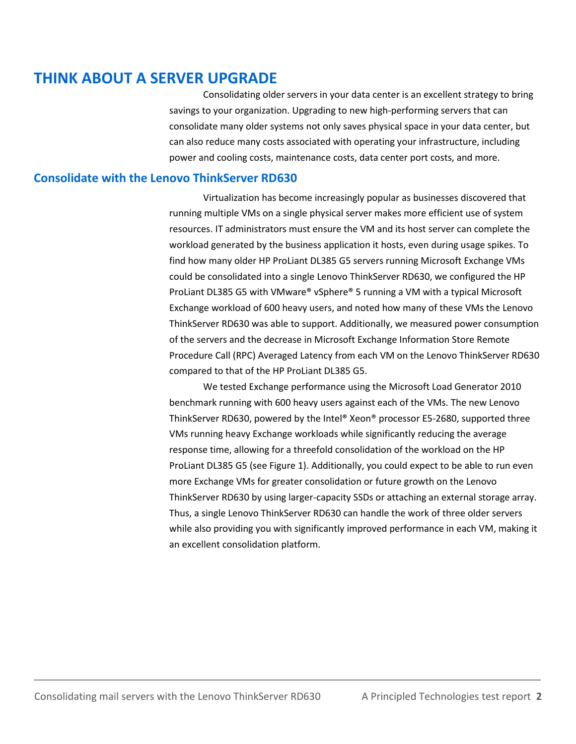## **THINK ABOUT A SERVER UPGRADE**

Consolidating older servers in your data center is an excellent strategy to bring savings to your organization. Upgrading to new high-performing servers that can consolidate many older systems not only saves physical space in your data center, but can also reduce many costs associated with operating your infrastructure, including power and cooling costs, maintenance costs, data center port costs, and more.

#### **Consolidate with the Lenovo ThinkServer RD630**

Virtualization has become increasingly popular as businesses discovered that running multiple VMs on a single physical server makes more efficient use of system resources. IT administrators must ensure the VM and its host server can complete the workload generated by the business application it hosts, even during usage spikes. To find how many older HP ProLiant DL385 G5 servers running Microsoft Exchange VMs could be consolidated into a single Lenovo ThinkServer RD630, we configured the HP ProLiant DL385 G5 with VMware® vSphere® 5 running a VM with a typical Microsoft Exchange workload of 600 heavy users, and noted how many of these VMs the Lenovo ThinkServer RD630 was able to support. Additionally, we measured power consumption of the servers and the decrease in Microsoft Exchange Information Store Remote Procedure Call (RPC) Averaged Latency from each VM on the Lenovo ThinkServer RD630 compared to that of the HP ProLiant DL385 G5.

We tested Exchange performance using the Microsoft Load Generator 2010 benchmark running with 600 heavy users against each of the VMs. The new Lenovo ThinkServer RD630, powered by the Intel® Xeon® processor E5-2680, supported three VMs running heavy Exchange workloads while significantly reducing the average response time, allowing for a threefold consolidation of the workload on the HP ProLiant DL385 G5 (see Figure 1). Additionally, you could expect to be able to run even more Exchange VMs for greater consolidation or future growth on the Lenovo ThinkServer RD630 by using larger-capacity SSDs or attaching an external storage array. Thus, a single Lenovo ThinkServer RD630 can handle the work of three older servers while also providing you with significantly improved performance in each VM, making it an excellent consolidation platform.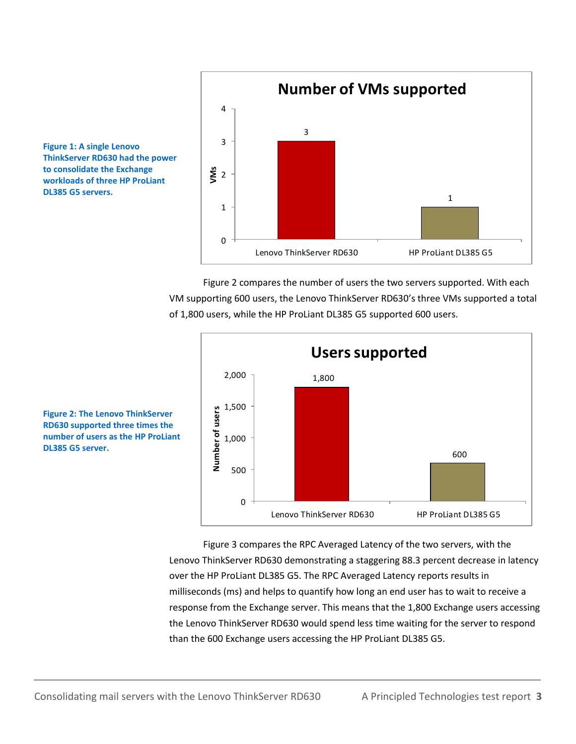

Figure 2 compares the number of users the two servers supported. With each VM supporting 600 users, the Lenovo ThinkServer RD630's three VMs supported a total of 1,800 users, while the HP ProLiant DL385 G5 supported 600 users.





**Figure 1: A single Lenovo** 

**DL385 G5 servers.**

**ThinkServer RD630 had the power to consolidate the Exchange workloads of three HP ProLiant** 

> Figure 3 compares the RPC Averaged Latency of the two servers, with the Lenovo ThinkServer RD630 demonstrating a staggering 88.3 percent decrease in latency over the HP ProLiant DL385 G5. The RPC Averaged Latency reports results in milliseconds (ms) and helps to quantify how long an end user has to wait to receive a response from the Exchange server. This means that the 1,800 Exchange users accessing the Lenovo ThinkServer RD630 would spend less time waiting for the server to respond than the 600 Exchange users accessing the HP ProLiant DL385 G5.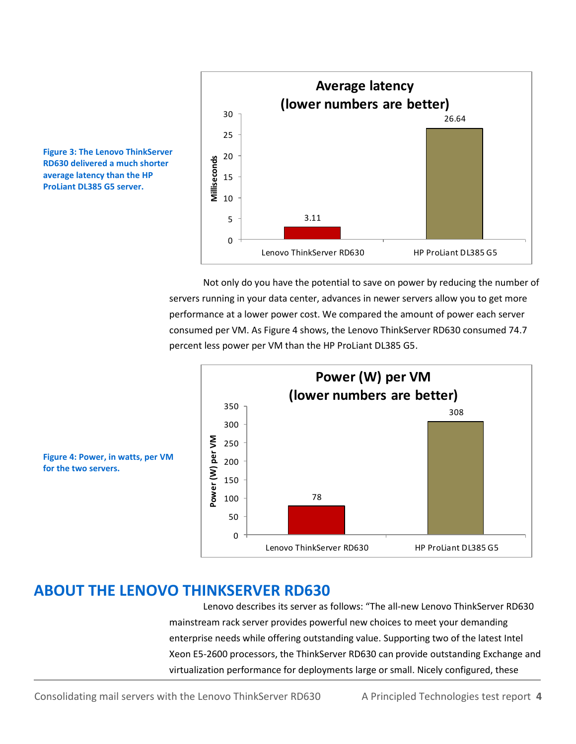

**Figure 3: The Lenovo ThinkServer RD630 delivered a much shorter average latency than the HP ProLiant DL385 G5 server.**

> Not only do you have the potential to save on power by reducing the number of servers running in your data center, advances in newer servers allow you to get more performance at a lower power cost. We compared the amount of power each server consumed per VM. As Figure 4 shows, the Lenovo ThinkServer RD630 consumed 74.7 percent less power per VM than the HP ProLiant DL385 G5.



**Figure 4: Power, in watts, per VM for the two servers.**

## **ABOUT THE LENOVO THINKSERVER RD630**

Lenovo describes its server as follows: "The all-new Lenovo ThinkServer RD630 mainstream rack server provides powerful new choices to meet your demanding enterprise needs while offering outstanding value. Supporting two of the latest Intel Xeon E5-2600 processors, the ThinkServer RD630 can provide outstanding Exchange and virtualization performance for deployments large or small. Nicely configured, these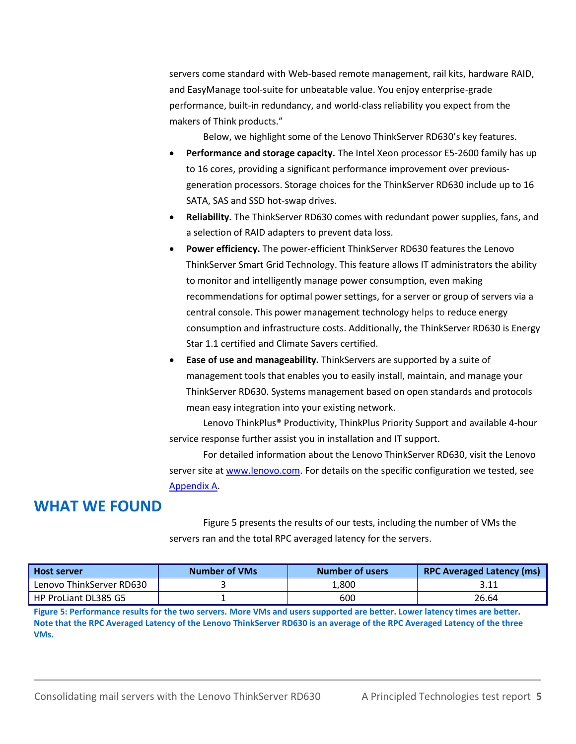servers come standard with Web-based remote management, rail kits, hardware RAID, and EasyManage tool-suite for unbeatable value. You enjoy enterprise-grade performance, built-in redundancy, and world-class reliability you expect from the makers of Think products."

Below, we highlight some of the Lenovo ThinkServer RD630's key features.

- **Performance and storage capacity.** The Intel Xeon processor E5-2600 family has up to 16 cores, providing a significant performance improvement over previousgeneration processors. Storage choices for the ThinkServer RD630 include up to 16 SATA, SAS and SSD hot-swap drives.
- **Reliability.** The ThinkServer RD630 comes with redundant power supplies, fans, and a selection of RAID adapters to prevent data loss.
- **Power efficiency.** The power-efficient ThinkServer RD630 features the Lenovo ThinkServer Smart Grid Technology. This feature allows IT administrators the ability to monitor and intelligently manage power consumption, even making recommendations for optimal power settings, for a server or group of servers via a central console. This power management technology helps to reduce energy consumption and infrastructure costs. Additionally, the ThinkServer RD630 is Energy Star 1.1 certified and Climate Savers certified.
- **Ease of use and manageability.** ThinkServers are supported by a suite of management tools that enables you to easily install, maintain, and manage your ThinkServer RD630. Systems management based on open standards and protocols mean easy integration into your existing network.

Lenovo ThinkPlus® Productivity, ThinkPlus Priority Support and available 4-hour service response further assist you in installation and IT support.

For detailed information about the Lenovo ThinkServer RD630, visit the Lenovo server site at [www.lenovo.com.](file:///C:/Users/Administrator/AppData/Local/Microsoft/Windows/Temporary%20Internet%20Files/Content.Outlook/R10NE93R/www.lenovo.com) For details on the specific configuration we tested, see [Appendix A.](#page-6-0)

### **WHAT WE FOUND**

Figure 5 presents the results of our tests, including the number of VMs the servers ran and the total RPC averaged latency for the servers.

| <b>Host server</b>       | <b>Number of VMs</b> | <b>Number of users</b> | <b>RPC Averaged Latency (ms)</b> |
|--------------------------|----------------------|------------------------|----------------------------------|
| Lenovo ThinkServer RD630 |                      | 1,800                  | 3.11                             |
| HP ProLiant DL385 G5     |                      | 600                    | 26.64                            |

**Figure 5: Performance results for the two servers. More VMs and users supported are better. Lower latency times are better. Note that the RPC Averaged Latency of the Lenovo ThinkServer RD630 is an average of the RPC Averaged Latency of the three VMs.**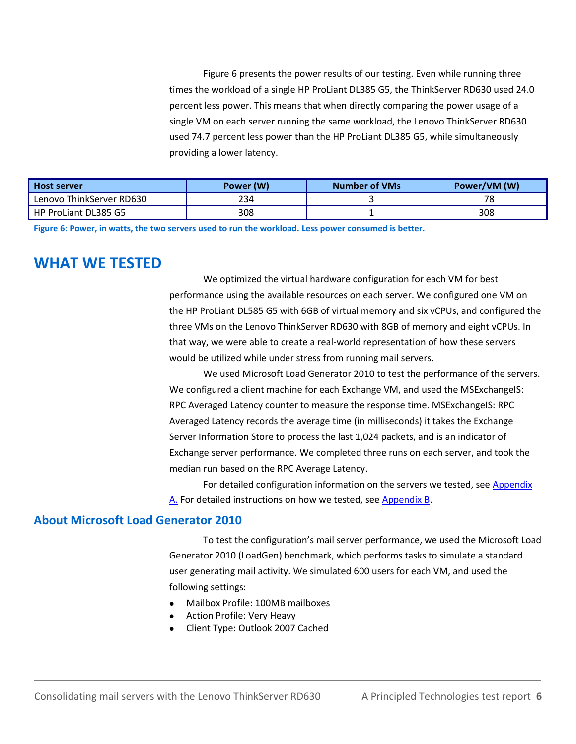Figure 6 presents the power results of our testing. Even while running three times the workload of a single HP ProLiant DL385 G5, the ThinkServer RD630 used 24.0 percent less power. This means that when directly comparing the power usage of a single VM on each server running the same workload, the Lenovo ThinkServer RD630 used 74.7 percent less power than the HP ProLiant DL385 G5, while simultaneously providing a lower latency.

| <b>Host server</b>       | Power (W) | <b>Number of VMs</b> | Power/VM (W) |
|--------------------------|-----------|----------------------|--------------|
| Lenovo ThinkServer RD630 | 234       |                      | 78           |
| HP ProLiant DL385 G5     | 308       |                      | 308          |

**Figure 6: Power, in watts, the two servers used to run the workload. Less power consumed is better.**

### **WHAT WE TESTED**

We optimized the virtual hardware configuration for each VM for best performance using the available resources on each server. We configured one VM on the HP ProLiant DL585 G5 with 6GB of virtual memory and six vCPUs, and configured the three VMs on the Lenovo ThinkServer RD630 with 8GB of memory and eight vCPUs. In that way, we were able to create a real-world representation of how these servers would be utilized while under stress from running mail servers.

We used Microsoft Load Generator 2010 to test the performance of the servers. We configured a client machine for each Exchange VM, and used the MSExchangeIS: RPC Averaged Latency counter to measure the response time. MSExchangeIS: RPC Averaged Latency records the average time (in milliseconds) it takes the Exchange Server Information Store to process the last 1,024 packets, and is an indicator of Exchange server performance. We completed three runs on each server, and took the median run based on the RPC Average Latency.

For detailed configuration information on the servers we tested, see Appendix [A.](#page-6-0) For detailed instructions on how we tested, see [Appendix B.](#page-9-0)

#### **About Microsoft Load Generator 2010**

To test the configuration's mail server performance, we used the Microsoft Load Generator 2010 (LoadGen) benchmark, which performs tasks to simulate a standard user generating mail activity. We simulated 600 users for each VM, and used the following settings:

- Mailbox Profile: 100MB mailboxes
- Action Profile: Very Heavy
- Client Type: Outlook 2007 Cached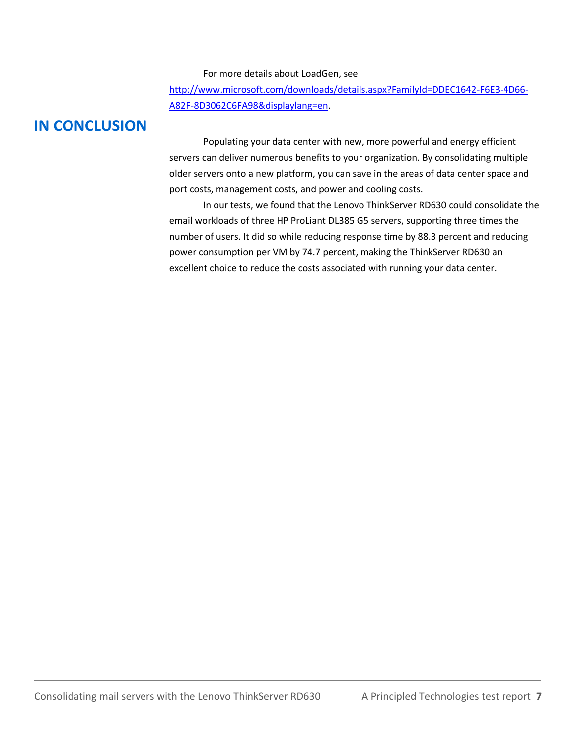For more details about LoadGen, see

[http://www.microsoft.com/downloads/details.aspx?FamilyId=DDEC1642-F6E3-4D66-](http://www.microsoft.com/downloads/details.aspx?FamilyId=DDEC1642-F6E3-4D66-A82F-8D3062C6FA98&displaylang=en) [A82F-8D3062C6FA98&displaylang=en.](http://www.microsoft.com/downloads/details.aspx?FamilyId=DDEC1642-F6E3-4D66-A82F-8D3062C6FA98&displaylang=en)

## **IN CONCLUSION**

Populating your data center with new, more powerful and energy efficient servers can deliver numerous benefits to your organization. By consolidating multiple older servers onto a new platform, you can save in the areas of data center space and port costs, management costs, and power and cooling costs.

<span id="page-6-0"></span>In our tests, we found that the Lenovo ThinkServer RD630 could consolidate the email workloads of three HP ProLiant DL385 G5 servers, supporting three times the number of users. It did so while reducing response time by 88.3 percent and reducing power consumption per VM by 74.7 percent, making the ThinkServer RD630 an excellent choice to reduce the costs associated with running your data center.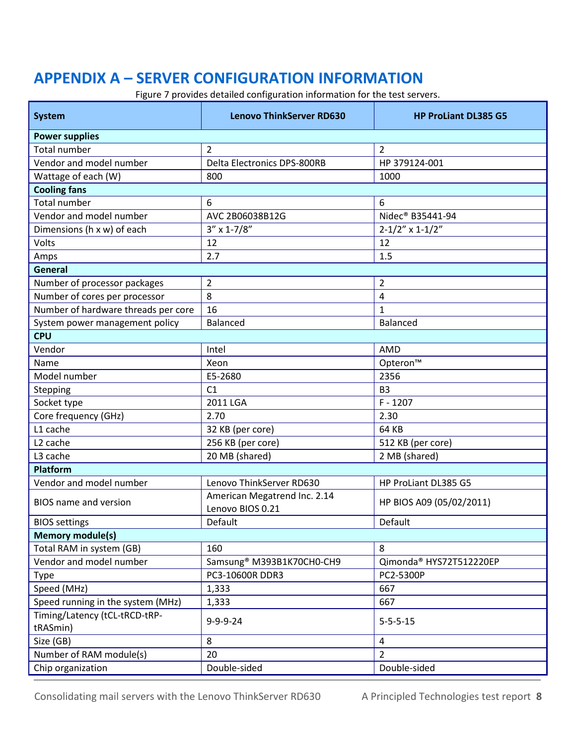## **APPENDIX A – SERVER CONFIGURATION INFORMATION**

Figure 7 provides detailed configuration information for the test servers.

| <b>System</b>                       | <b>Lenovo ThinkServer RD630</b>                  | <b>HP ProLiant DL385 G5</b> |  |
|-------------------------------------|--------------------------------------------------|-----------------------------|--|
| <b>Power supplies</b>               |                                                  |                             |  |
| <b>Total number</b>                 | $\overline{2}$                                   | $\overline{2}$              |  |
| Vendor and model number             | <b>Delta Electronics DPS-800RB</b>               | HP 379124-001               |  |
| Wattage of each (W)                 | 800                                              | 1000                        |  |
| <b>Cooling fans</b>                 |                                                  |                             |  |
| <b>Total number</b>                 | 6                                                | 6                           |  |
| Vendor and model number             | AVC 2B06038B12G                                  | Nidec® B35441-94            |  |
| Dimensions (h x w) of each          | $3'' \times 1 - 7/8''$                           | $2 - 1/2" \times 1 - 1/2"$  |  |
| Volts                               | 12                                               | 12                          |  |
| Amps                                | 2.7                                              | 1.5                         |  |
| General                             |                                                  |                             |  |
| Number of processor packages        | $\overline{2}$                                   | $\overline{2}$              |  |
| Number of cores per processor       | 8                                                | 4                           |  |
| Number of hardware threads per core | 16                                               | 1                           |  |
| System power management policy      | Balanced                                         | <b>Balanced</b>             |  |
| <b>CPU</b>                          |                                                  |                             |  |
| Vendor                              | Intel                                            | AMD                         |  |
| Name                                | Xeon                                             | Opteron™                    |  |
| Model number                        | E5-2680                                          | 2356                        |  |
| Stepping                            | C1                                               | B <sub>3</sub>              |  |
| Socket type                         | 2011 LGA                                         | $F - 1207$                  |  |
| Core frequency (GHz)                | 2.70                                             | 2.30                        |  |
| L1 cache                            | 32 KB (per core)                                 | 64 KB                       |  |
| L <sub>2</sub> cache                | 256 KB (per core)                                | 512 KB (per core)           |  |
| L3 cache                            | 20 MB (shared)                                   | 2 MB (shared)               |  |
| <b>Platform</b>                     |                                                  |                             |  |
| Vendor and model number             | Lenovo ThinkServer RD630                         | HP ProLiant DL385 G5        |  |
| <b>BIOS</b> name and version        | American Megatrend Inc. 2.14<br>Lenovo BIOS 0.21 | HP BIOS A09 (05/02/2011)    |  |
| <b>BIOS</b> settings                | Default                                          | Default                     |  |
| <b>Memory module(s)</b>             |                                                  |                             |  |
| Total RAM in system (GB)            | 160                                              | 8                           |  |
| Vendor and model number             | Samsung <sup>®</sup> M393B1K70CH0-CH9            | Qimonda® HYS72T512220EP     |  |
| Type                                | PC3-10600R DDR3                                  | PC2-5300P                   |  |
| Speed (MHz)                         | 1,333                                            | 667                         |  |
| Speed running in the system (MHz)   | 1,333                                            | 667                         |  |
| Timing/Latency (tCL-tRCD-tRP-       |                                                  |                             |  |
| tRASmin)                            | $9 - 9 - 9 - 24$                                 | $5 - 5 - 5 - 15$            |  |
| Size (GB)                           | 8                                                | $\overline{4}$              |  |
| Number of RAM module(s)             | 20                                               | $\overline{2}$              |  |
| Chip organization                   | Double-sided                                     | Double-sided                |  |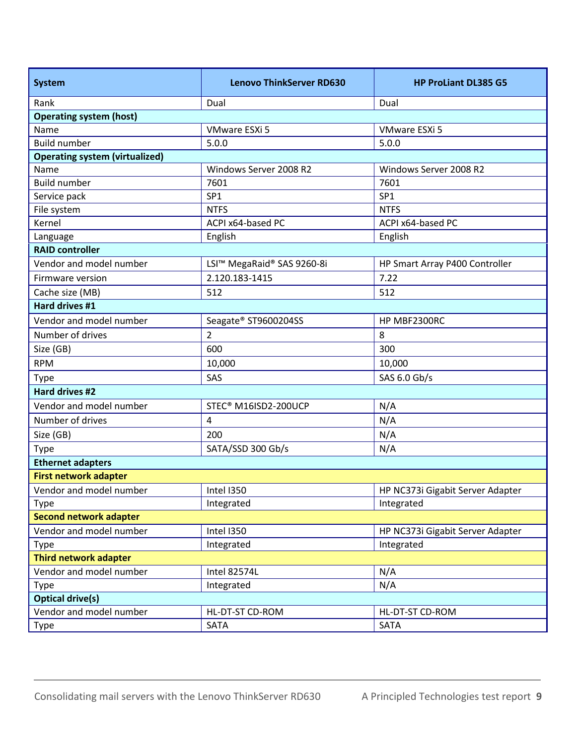| <b>System</b>                         | <b>Lenovo ThinkServer RD630</b> | <b>HP ProLiant DL385 G5</b>      |  |
|---------------------------------------|---------------------------------|----------------------------------|--|
| Rank                                  | Dual                            | Dual                             |  |
| <b>Operating system (host)</b>        |                                 |                                  |  |
| Name                                  | VMware ESXi 5                   | <b>VMware ESXi 5</b>             |  |
| <b>Build number</b>                   | 5.0.0                           | 5.0.0                            |  |
| <b>Operating system (virtualized)</b> |                                 |                                  |  |
| Name                                  | Windows Server 2008 R2          | Windows Server 2008 R2           |  |
| <b>Build number</b>                   | 7601                            | 7601                             |  |
| Service pack                          | SP <sub>1</sub>                 | SP <sub>1</sub>                  |  |
| File system                           | <b>NTFS</b>                     | <b>NTFS</b>                      |  |
| Kernel                                | ACPI x64-based PC               | ACPI x64-based PC                |  |
| Language                              | English                         | English                          |  |
| <b>RAID controller</b>                |                                 |                                  |  |
| Vendor and model number               | LSI™ MegaRaid® SAS 9260-8i      | HP Smart Array P400 Controller   |  |
| Firmware version                      | 2.120.183-1415                  | 7.22                             |  |
| Cache size (MB)                       | 512                             | 512                              |  |
| Hard drives #1                        |                                 |                                  |  |
| Vendor and model number               | Seagate® ST9600204SS            | HP MBF2300RC                     |  |
| Number of drives                      | $\overline{2}$                  | 8                                |  |
| Size (GB)                             | 600                             | 300                              |  |
| <b>RPM</b>                            | 10,000                          | 10,000                           |  |
| Type                                  | SAS                             | SAS 6.0 Gb/s                     |  |
| Hard drives #2                        |                                 |                                  |  |
| Vendor and model number               | STEC® M16ISD2-200UCP            | N/A                              |  |
| Number of drives                      | 4                               | N/A                              |  |
| Size (GB)                             | 200                             | N/A                              |  |
| <b>Type</b>                           | SATA/SSD 300 Gb/s               | N/A                              |  |
| <b>Ethernet adapters</b>              |                                 |                                  |  |
| <b>First network adapter</b>          |                                 |                                  |  |
| Vendor and model number               | Intel I350                      | HP NC373i Gigabit Server Adapter |  |
| <b>Type</b>                           | Integrated                      | Integrated                       |  |
| <b>Second network adapter</b>         |                                 |                                  |  |
| Vendor and model number               | Intel I350                      | HP NC373i Gigabit Server Adapter |  |
| Type                                  | Integrated                      | Integrated                       |  |
| <b>Third network adapter</b>          |                                 |                                  |  |
| Vendor and model number               | <b>Intel 82574L</b>             | N/A                              |  |
| <b>Type</b>                           | Integrated                      | N/A                              |  |
| <b>Optical drive(s)</b>               |                                 |                                  |  |
| Vendor and model number               | HL-DT-ST CD-ROM                 | HL-DT-ST CD-ROM                  |  |
| Type                                  | <b>SATA</b>                     | <b>SATA</b>                      |  |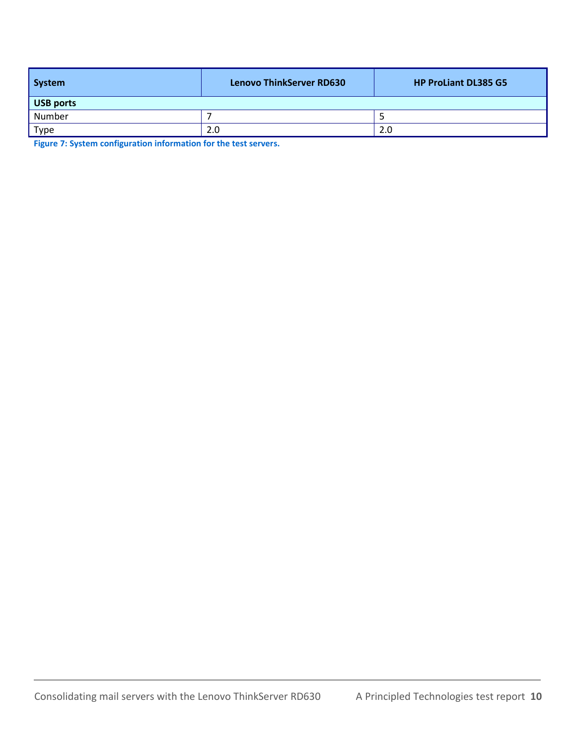| System           | <b>Lenovo ThinkServer RD630</b> | <b>HP ProLiant DL385 G5</b> |  |
|------------------|---------------------------------|-----------------------------|--|
| <b>USB</b> ports |                                 |                             |  |
| Number           |                                 |                             |  |
| <b>Type</b>      | 2.0                             | 2.0                         |  |

<span id="page-9-0"></span>**Figure 7: System configuration information for the test servers.**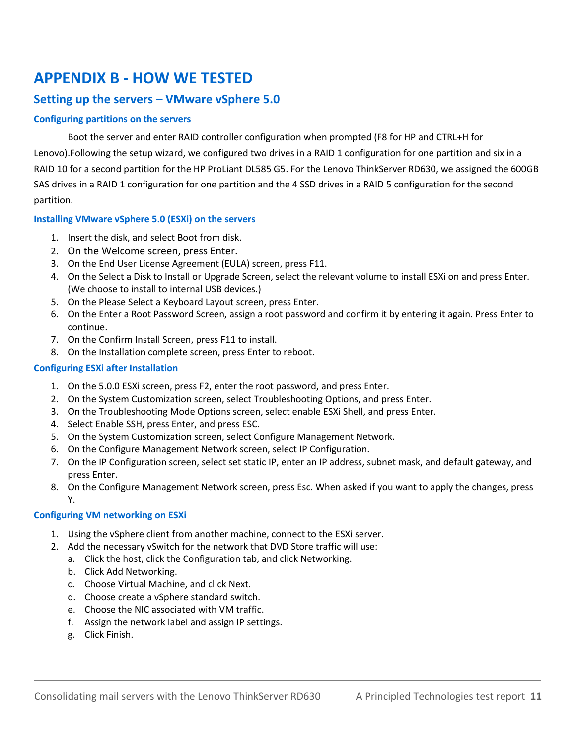## **APPENDIX B - HOW WE TESTED**

#### **Setting up the servers – VMware vSphere 5.0**

#### **Configuring partitions on the servers**

Boot the server and enter RAID controller configuration when prompted (F8 for HP and CTRL+H for Lenovo).Following the setup wizard, we configured two drives in a RAID 1 configuration for one partition and six in a RAID 10 for a second partition for the HP ProLiant DL585 G5. For the Lenovo ThinkServer RD630, we assigned the 600GB SAS drives in a RAID 1 configuration for one partition and the 4 SSD drives in a RAID 5 configuration for the second partition.

#### **Installing VMware vSphere 5.0 (ESXi) on the servers**

- 1. Insert the disk, and select Boot from disk.
- 2. On the Welcome screen, press Enter.
- 3. On the End User License Agreement (EULA) screen, press F11.
- 4. On the Select a Disk to Install or Upgrade Screen, select the relevant volume to install ESXi on and press Enter. (We choose to install to internal USB devices.)
- 5. On the Please Select a Keyboard Layout screen, press Enter.
- 6. On the Enter a Root Password Screen, assign a root password and confirm it by entering it again. Press Enter to continue.
- 7. On the Confirm Install Screen, press F11 to install.
- 8. On the Installation complete screen, press Enter to reboot.

#### **Configuring ESXi after Installation**

- 1. On the 5.0.0 ESXi screen, press F2, enter the root password, and press Enter.
- 2. On the System Customization screen, select Troubleshooting Options, and press Enter.
- 3. On the Troubleshooting Mode Options screen, select enable ESXi Shell, and press Enter.
- 4. Select Enable SSH, press Enter, and press ESC.
- 5. On the System Customization screen, select Configure Management Network.
- 6. On the Configure Management Network screen, select IP Configuration.
- 7. On the IP Configuration screen, select set static IP, enter an IP address, subnet mask, and default gateway, and press Enter.
- 8. On the Configure Management Network screen, press Esc. When asked if you want to apply the changes, press Y.

#### **Configuring VM networking on ESXi**

- 1. Using the vSphere client from another machine, connect to the ESXi server.
- 2. Add the necessary vSwitch for the network that DVD Store traffic will use:
	- a. Click the host, click the Configuration tab, and click Networking.
	- b. Click Add Networking.
	- c. Choose Virtual Machine, and click Next.
	- d. Choose create a vSphere standard switch.
	- e. Choose the NIC associated with VM traffic.
	- f. Assign the network label and assign IP settings.
	- g. Click Finish.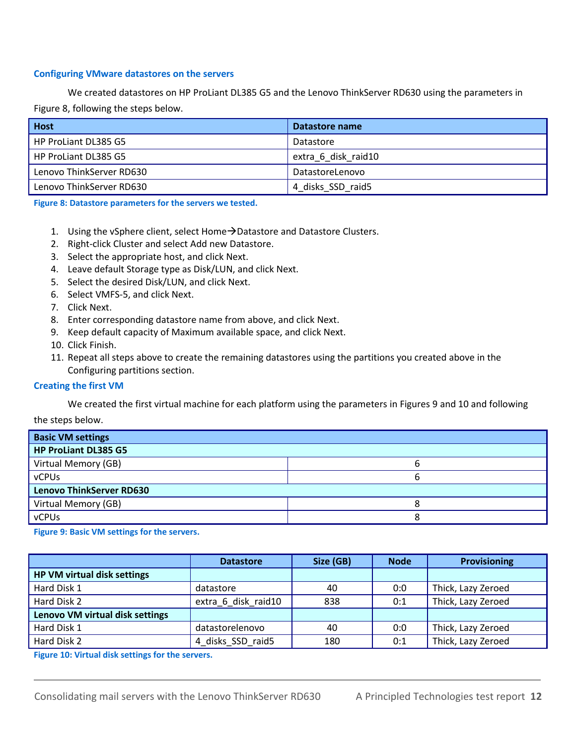#### **Configuring VMware datastores on the servers**

We created datastores on HP ProLiant DL385 G5 and the Lenovo ThinkServer RD630 using the parameters in Figure 8, following the steps below.

| <b>Host</b>              | Datastore name      |
|--------------------------|---------------------|
| HP ProLiant DL385 G5     | Datastore           |
| HP ProLiant DL385 G5     | extra 6 disk raid10 |
| Lenovo ThinkServer RD630 | DatastoreLenovo     |
| Lenovo ThinkServer RD630 | 4 disks SSD raid5   |

**Figure 8: Datastore parameters for the servers we tested.**

- 1. Using the vSphere client, select Home $\rightarrow$ Datastore and Datastore Clusters.
- 2. Right-click Cluster and select Add new Datastore.
- 3. Select the appropriate host, and click Next.
- 4. Leave default Storage type as Disk/LUN, and click Next.
- 5. Select the desired Disk/LUN, and click Next.
- 6. Select VMFS-5, and click Next.
- 7. Click Next.
- 8. Enter corresponding datastore name from above, and click Next.
- 9. Keep default capacity of Maximum available space, and click Next.
- 10. Click Finish.
- 11. Repeat all steps above to create the remaining datastores using the partitions you created above in the Configuring partitions section.

#### **Creating the first VM**

We created the first virtual machine for each platform using the parameters in Figures 9 and 10 and following

the steps below.

| <b>Basic VM settings</b>        |   |  |  |
|---------------------------------|---|--|--|
| HP ProLiant DL385 G5            |   |  |  |
| Virtual Memory (GB)             |   |  |  |
| vCPUs                           |   |  |  |
| <b>Lenovo ThinkServer RD630</b> |   |  |  |
| Virtual Memory (GB)             | Ο |  |  |
| vCPUs                           | Ω |  |  |

**Figure 9: Basic VM settings for the servers.**

|                                 | <b>Datastore</b>    | Size (GB) | <b>Node</b> | <b>Provisioning</b> |
|---------------------------------|---------------------|-----------|-------------|---------------------|
| HP VM virtual disk settings     |                     |           |             |                     |
| Hard Disk 1                     | datastore           | 40        | 0:0         | Thick, Lazy Zeroed  |
| Hard Disk 2                     | extra 6 disk raid10 | 838       | 0:1         | Thick, Lazy Zeroed  |
| Lenovo VM virtual disk settings |                     |           |             |                     |
| Hard Disk 1                     | datastorelenovo     | 40        | 0:0         | Thick, Lazy Zeroed  |
| Hard Disk 2                     | 4 disks SSD raid5   | 180       | 0:1         | Thick, Lazy Zeroed  |

**Figure 10: Virtual disk settings for the servers.**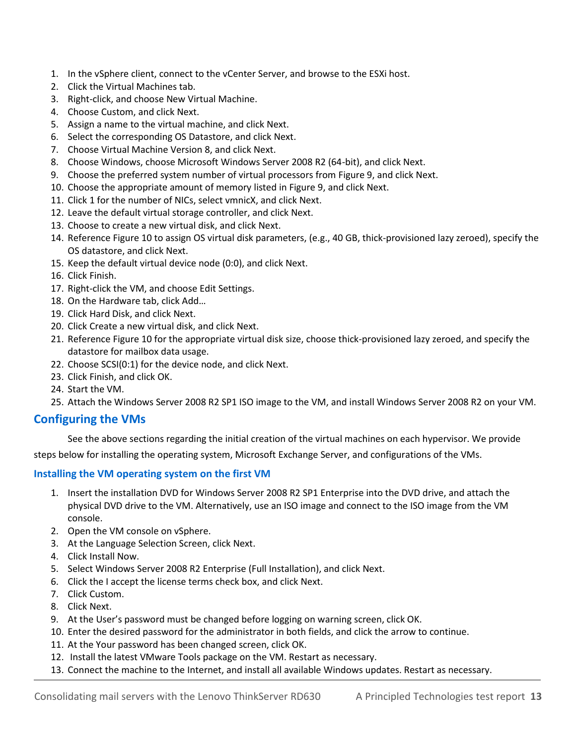- 1. In the vSphere client, connect to the vCenter Server, and browse to the ESXi host.
- 2. Click the Virtual Machines tab.
- 3. Right-click, and choose New Virtual Machine.
- 4. Choose Custom, and click Next.
- 5. Assign a name to the virtual machine, and click Next.
- 6. Select the corresponding OS Datastore, and click Next.
- 7. Choose Virtual Machine Version 8, and click Next.
- 8. Choose Windows, choose Microsoft Windows Server 2008 R2 (64-bit), and click Next.
- 9. Choose the preferred system number of virtual processors from Figure 9, and click Next.
- 10. Choose the appropriate amount of memory listed in Figure 9, and click Next.
- 11. Click 1 for the number of NICs, select vmnicX, and click Next.
- 12. Leave the default virtual storage controller, and click Next.
- 13. Choose to create a new virtual disk, and click Next.
- 14. Reference Figure 10 to assign OS virtual disk parameters, (e.g., 40 GB, thick-provisioned lazy zeroed), specify the OS datastore, and click Next.
- 15. Keep the default virtual device node (0:0), and click Next.
- 16. Click Finish.
- 17. Right-click the VM, and choose Edit Settings.
- 18. On the Hardware tab, click Add…
- 19. Click Hard Disk, and click Next.
- 20. Click Create a new virtual disk, and click Next.
- 21. Reference Figure 10 for the appropriate virtual disk size, choose thick-provisioned lazy zeroed, and specify the datastore for mailbox data usage.
- 22. Choose SCSI(0:1) for the device node, and click Next.
- 23. Click Finish, and click OK.
- 24. Start the VM.
- 25. Attach the Windows Server 2008 R2 SP1 ISO image to the VM, and install Windows Server 2008 R2 on your VM.

#### **Configuring the VMs**

See the above sections regarding the initial creation of the virtual machines on each hypervisor. We provide

steps below for installing the operating system, Microsoft Exchange Server, and configurations of the VMs.

#### **Installing the VM operating system on the first VM**

- 1. Insert the installation DVD for Windows Server 2008 R2 SP1 Enterprise into the DVD drive, and attach the physical DVD drive to the VM. Alternatively, use an ISO image and connect to the ISO image from the VM console.
- 2. Open the VM console on vSphere.
- 3. At the Language Selection Screen, click Next.
- 4. Click Install Now.
- 5. Select Windows Server 2008 R2 Enterprise (Full Installation), and click Next.
- 6. Click the I accept the license terms check box, and click Next.
- 7. Click Custom.
- 8. Click Next.
- 9. At the User's password must be changed before logging on warning screen, click OK.
- 10. Enter the desired password for the administrator in both fields, and click the arrow to continue.
- 11. At the Your password has been changed screen, click OK.
- 12. Install the latest VMware Tools package on the VM. Restart as necessary.
- 13. Connect the machine to the Internet, and install all available Windows updates. Restart as necessary.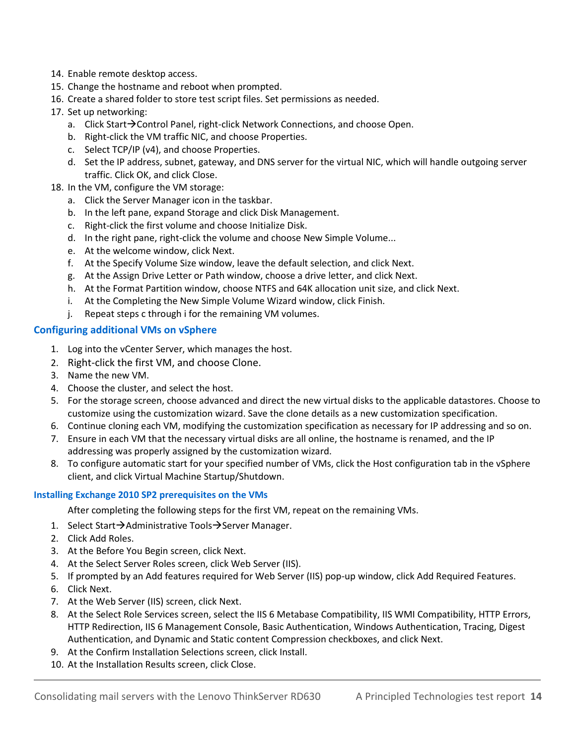- 14. Enable remote desktop access.
- 15. Change the hostname and reboot when prompted.
- 16. Create a shared folder to store test script files. Set permissions as needed.
- 17. Set up networking:
	- a. Click Start $\rightarrow$  Control Panel, right-click Network Connections, and choose Open.
	- b. Right-click the VM traffic NIC, and choose Properties.
	- c. Select TCP/IP (v4), and choose Properties.
	- d. Set the IP address, subnet, gateway, and DNS server for the virtual NIC, which will handle outgoing server traffic. Click OK, and click Close.
- 18. In the VM, configure the VM storage:
	- a. Click the Server Manager icon in the taskbar.
	- b. In the left pane, expand Storage and click Disk Management.
	- c. Right-click the first volume and choose Initialize Disk.
	- d. In the right pane, right-click the volume and choose New Simple Volume...
	- e. At the welcome window, click Next.
	- f. At the Specify Volume Size window, leave the default selection, and click Next.
	- g. At the Assign Drive Letter or Path window, choose a drive letter, and click Next.
	- h. At the Format Partition window, choose NTFS and 64K allocation unit size, and click Next.
	- i. At the Completing the New Simple Volume Wizard window, click Finish.
	- j. Repeat steps c through i for the remaining VM volumes.

#### **Configuring additional VMs on vSphere**

- 1. Log into the vCenter Server, which manages the host.
- 2. Right-click the first VM, and choose Clone.
- 3. Name the new VM.
- 4. Choose the cluster, and select the host.
- 5. For the storage screen, choose advanced and direct the new virtual disks to the applicable datastores. Choose to customize using the customization wizard. Save the clone details as a new customization specification.
- 6. Continue cloning each VM, modifying the customization specification as necessary for IP addressing and so on.
- 7. Ensure in each VM that the necessary virtual disks are all online, the hostname is renamed, and the IP addressing was properly assigned by the customization wizard.
- 8. To configure automatic start for your specified number of VMs, click the Host configuration tab in the vSphere client, and click Virtual Machine Startup/Shutdown.

#### **Installing Exchange 2010 SP2 prerequisites on the VMs**

After completing the following steps for the first VM, repeat on the remaining VMs.

- 1. Select Start $\rightarrow$ Administrative Tools $\rightarrow$ Server Manager.
- 2. Click Add Roles.
- 3. At the Before You Begin screen, click Next.
- 4. At the Select Server Roles screen, click Web Server (IIS).
- 5. If prompted by an Add features required for Web Server (IIS) pop-up window, click Add Required Features.
- 6. Click Next.
- 7. At the Web Server (IIS) screen, click Next.
- 8. At the Select Role Services screen, select the IIS 6 Metabase Compatibility, IIS WMI Compatibility, HTTP Errors, HTTP Redirection, IIS 6 Management Console, Basic Authentication, Windows Authentication, Tracing, Digest Authentication, and Dynamic and Static content Compression checkboxes, and click Next.
- 9. At the Confirm Installation Selections screen, click Install.
- 10. At the Installation Results screen, click Close.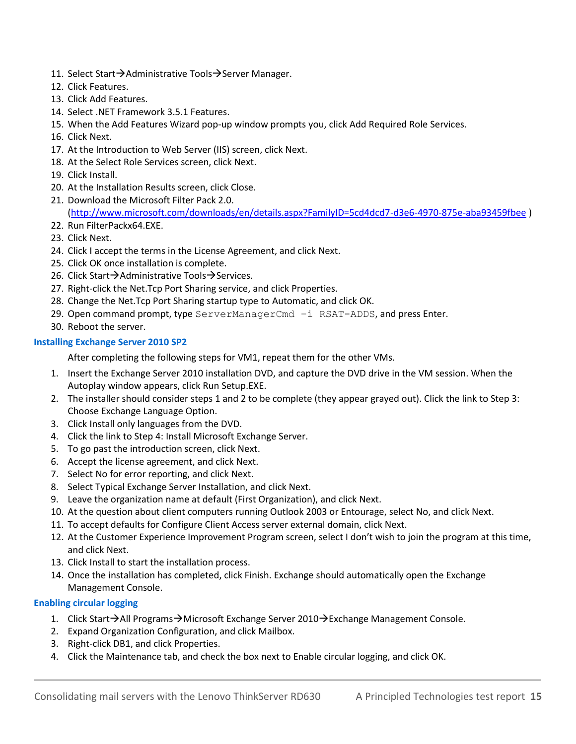- 11. Select Start $\rightarrow$ Administrative Tools $\rightarrow$ Server Manager.
- 12. Click Features.
- 13. Click Add Features.
- 14. Select .NET Framework 3.5.1 Features.
- 15. When the Add Features Wizard pop-up window prompts you, click Add Required Role Services.
- 16. Click Next.
- 17. At the Introduction to Web Server (IIS) screen, click Next.
- 18. At the Select Role Services screen, click Next.
- 19. Click Install.
- 20. At the Installation Results screen, click Close.
- 21. Download the Microsoft Filter Pack 2.0. [\(http://www.microsoft.com/downloads/en/details.aspx?FamilyID=5cd4dcd7-d3e6-4970-875e-aba93459fbee](http://www.microsoft.com/downloads/en/details.aspx?FamilyID=5cd4dcd7-d3e6-4970-875e-aba93459fbee) )
- 22. Run FilterPackx64.EXE.
- 23. Click Next.
- 24. Click I accept the terms in the License Agreement, and click Next.
- 25. Click OK once installation is complete.
- 26. Click Start $\rightarrow$ Administrative Tools $\rightarrow$ Services.
- 27. Right-click the Net.Tcp Port Sharing service, and click Properties.
- 28. Change the Net.Tcp Port Sharing startup type to Automatic, and click OK.
- 29. Open command prompt, type  $ServerManagerCmd -i$  RSAT-ADDS, and press Enter.
- 30. Reboot the server.

#### **Installing Exchange Server 2010 SP2**

After completing the following steps for VM1, repeat them for the other VMs.

- 1. Insert the Exchange Server 2010 installation DVD, and capture the DVD drive in the VM session. When the Autoplay window appears, click Run Setup.EXE.
- 2. The installer should consider steps 1 and 2 to be complete (they appear grayed out). Click the link to Step 3: Choose Exchange Language Option.
- 3. Click Install only languages from the DVD.
- 4. Click the link to Step 4: Install Microsoft Exchange Server.
- 5. To go past the introduction screen, click Next.
- 6. Accept the license agreement, and click Next.
- 7. Select No for error reporting, and click Next.
- 8. Select Typical Exchange Server Installation, and click Next.
- 9. Leave the organization name at default (First Organization), and click Next.
- 10. At the question about client computers running Outlook 2003 or Entourage, select No, and click Next.
- 11. To accept defaults for Configure Client Access server external domain, click Next.
- 12. At the Customer Experience Improvement Program screen, select I don't wish to join the program at this time, and click Next.
- 13. Click Install to start the installation process.
- 14. Once the installation has completed, click Finish. Exchange should automatically open the Exchange Management Console.

#### **Enabling circular logging**

- 1. Click Start $\rightarrow$ All Programs $\rightarrow$ Microsoft Exchange Server 2010 $\rightarrow$  Exchange Management Console.
- 2. Expand Organization Configuration, and click Mailbox.
- 3. Right-click DB1, and click Properties.
- 4. Click the Maintenance tab, and check the box next to Enable circular logging, and click OK.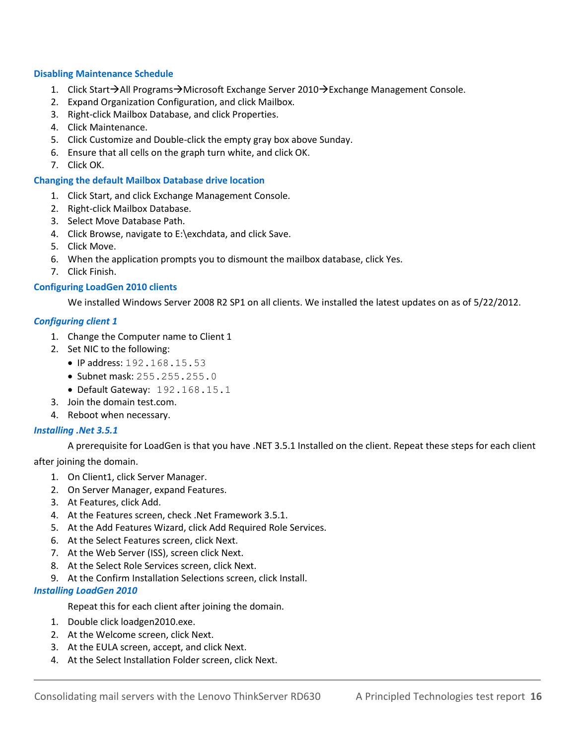#### **Disabling Maintenance Schedule**

- 1. Click Start $\rightarrow$ All Programs $\rightarrow$ Microsoft Exchange Server 2010 $\rightarrow$ Exchange Management Console.
- 2. Expand Organization Configuration, and click Mailbox.
- 3. Right-click Mailbox Database, and click Properties.
- 4. Click Maintenance.
- 5. Click Customize and Double-click the empty gray box above Sunday.
- 6. Ensure that all cells on the graph turn white, and click OK.
- 7. Click OK.

#### **Changing the default Mailbox Database drive location**

- 1. Click Start, and click Exchange Management Console.
- 2. Right-click Mailbox Database.
- 3. Select Move Database Path.
- 4. Click Browse, navigate to E:\exchdata, and click Save.
- 5. Click Move.
- 6. When the application prompts you to dismount the mailbox database, click Yes.
- 7. Click Finish.

#### **Configuring LoadGen 2010 clients**

We installed Windows Server 2008 R2 SP1 on all clients. We installed the latest updates on as of 5/22/2012.

#### *Configuring client 1*

- 1. Change the Computer name to Client 1
- 2. Set NIC to the following:
	- $\bullet$  IP address: 192.168.15.53
	- Subnet mask: 255.255.255.0
	- Default Gateway: 192.168.15.1
- 3. Join the domain test.com.
- 4. Reboot when necessary.

#### *Installing .Net 3.5.1*

A prerequisite for LoadGen is that you have .NET 3.5.1 Installed on the client. Repeat these steps for each client after joining the domain.

1. On Client1, click Server Manager.

- 2. On Server Manager, expand Features.
- 3. At Features, click Add.
- 4. At the Features screen, check .Net Framework 3.5.1.
- 5. At the Add Features Wizard, click Add Required Role Services.
- 6. At the Select Features screen, click Next.
- 7. At the Web Server (ISS), screen click Next.
- 8. At the Select Role Services screen, click Next.
- 9. At the Confirm Installation Selections screen, click Install.

#### *Installing LoadGen 2010*

Repeat this for each client after joining the domain.

- 1. Double click loadgen2010.exe.
- 2. At the Welcome screen, click Next.
- 3. At the EULA screen, accept, and click Next.
- 4. At the Select Installation Folder screen, click Next.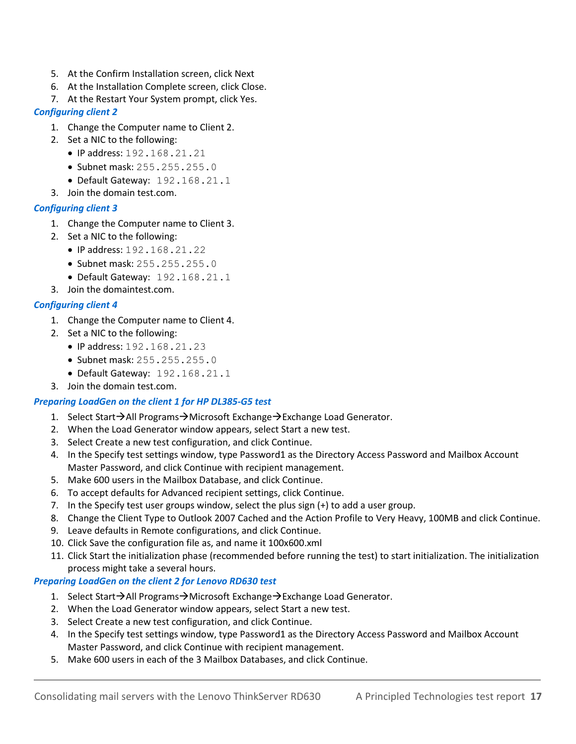- 5. At the Confirm Installation screen, click Next
- 6. At the Installation Complete screen, click Close.
- 7. At the Restart Your System prompt, click Yes.

#### *Configuring client 2*

- 1. Change the Computer name to Client 2.
- 2. Set a NIC to the following:
	- IP address: 192.168.21.21
	- Subnet mask: 255.255.0
	- Default Gateway: 192.168.21.1
- 3. Join the domain test.com.

#### *Configuring client 3*

- 1. Change the Computer name to Client 3.
- 2. Set a NIC to the following:
	- $\bullet$  IP address: 192.168.21.22
	- Subnet mask: 255.255.255.0
	- Default Gateway: 192.168.21.1
- 3. Join the domaintest.com.

#### *Configuring client 4*

- 1. Change the Computer name to Client 4.
- 2. Set a NIC to the following:
	- IP address: 192.168.21.23
	- Subnet mask: 255.255.0
	- Default Gateway: 192.168.21.1
- 3. Join the domain test.com.

#### *Preparing LoadGen on the client 1 for HP DL385-G5 test*

- 1. Select Start $\rightarrow$ All Programs $\rightarrow$ Microsoft Exchange $\rightarrow$ Exchange Load Generator.
- 2. When the Load Generator window appears, select Start a new test.
- 3. Select Create a new test configuration, and click Continue.
- 4. In the Specify test settings window, type Password1 as the Directory Access Password and Mailbox Account Master Password, and click Continue with recipient management.
- 5. Make 600 users in the Mailbox Database, and click Continue.
- 6. To accept defaults for Advanced recipient settings, click Continue.
- 7. In the Specify test user groups window, select the plus sign (+) to add a user group.
- 8. Change the Client Type to Outlook 2007 Cached and the Action Profile to Very Heavy, 100MB and click Continue.
- 9. Leave defaults in Remote configurations, and click Continue.
- 10. Click Save the configuration file as, and name it 100x600.xml
- 11. Click Start the initialization phase (recommended before running the test) to start initialization. The initialization process might take a several hours.

#### *Preparing LoadGen on the client 2 for Lenovo RD630 test*

- 1. Select Start $\rightarrow$ All Programs $\rightarrow$ Microsoft Exchange $\rightarrow$ Exchange Load Generator.
- 2. When the Load Generator window appears, select Start a new test.
- 3. Select Create a new test configuration, and click Continue.
- 4. In the Specify test settings window, type Password1 as the Directory Access Password and Mailbox Account Master Password, and click Continue with recipient management.
- 5. Make 600 users in each of the 3 Mailbox Databases, and click Continue.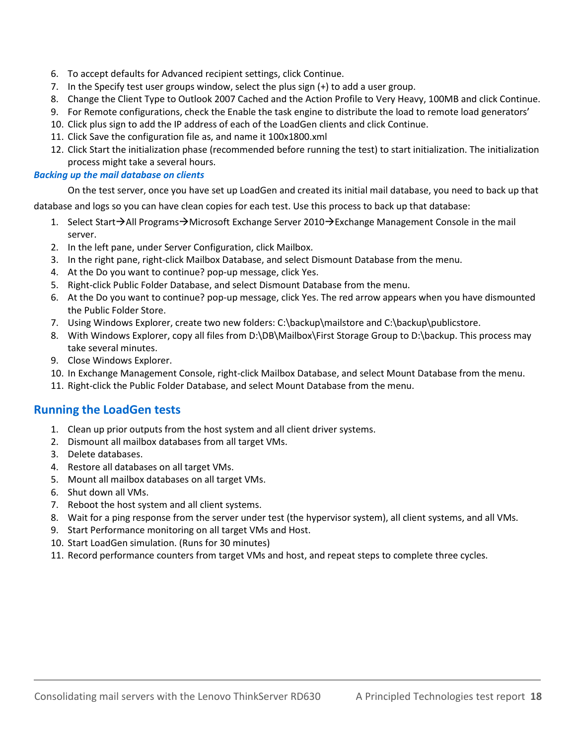- 6. To accept defaults for Advanced recipient settings, click Continue.
- 7. In the Specify test user groups window, select the plus sign (+) to add a user group.
- 8. Change the Client Type to Outlook 2007 Cached and the Action Profile to Very Heavy, 100MB and click Continue.
- 9. For Remote configurations, check the Enable the task engine to distribute the load to remote load generators'
- 10. Click plus sign to add the IP address of each of the LoadGen clients and click Continue.
- 11. Click Save the configuration file as, and name it 100x1800.xml
- 12. Click Start the initialization phase (recommended before running the test) to start initialization. The initialization process might take a several hours.

#### *Backing up the mail database on clients*

On the test server, once you have set up LoadGen and created its initial mail database, you need to back up that

database and logs so you can have clean copies for each test. Use this process to back up that database:

- 1. Select Start $\rightarrow$ All Programs $\rightarrow$ Microsoft Exchange Server 2010 $\rightarrow$ Exchange Management Console in the mail server.
- 2. In the left pane, under Server Configuration, click Mailbox.
- 3. In the right pane, right-click Mailbox Database, and select Dismount Database from the menu.
- 4. At the Do you want to continue? pop-up message, click Yes.
- 5. Right-click Public Folder Database, and select Dismount Database from the menu.
- 6. At the Do you want to continue? pop-up message, click Yes. The red arrow appears when you have dismounted the Public Folder Store.
- 7. Using Windows Explorer, create two new folders: C:\backup\mailstore and C:\backup\publicstore.
- 8. With Windows Explorer, copy all files from D:\DB\Mailbox\First Storage Group to D:\backup. This process may take several minutes.
- 9. Close Windows Explorer.
- 10. In Exchange Management Console, right-click Mailbox Database, and select Mount Database from the menu.
- 11. Right-click the Public Folder Database, and select Mount Database from the menu.

#### **Running the LoadGen tests**

- 1. Clean up prior outputs from the host system and all client driver systems.
- 2. Dismount all mailbox databases from all target VMs.
- 3. Delete databases.
- 4. Restore all databases on all target VMs.
- 5. Mount all mailbox databases on all target VMs.
- 6. Shut down all VMs.
- 7. Reboot the host system and all client systems.
- 8. Wait for a ping response from the server under test (the hypervisor system), all client systems, and all VMs.
- 9. Start Performance monitoring on all target VMs and Host.
- 10. Start LoadGen simulation. (Runs for 30 minutes)
- 11. Record performance counters from target VMs and host, and repeat steps to complete three cycles.